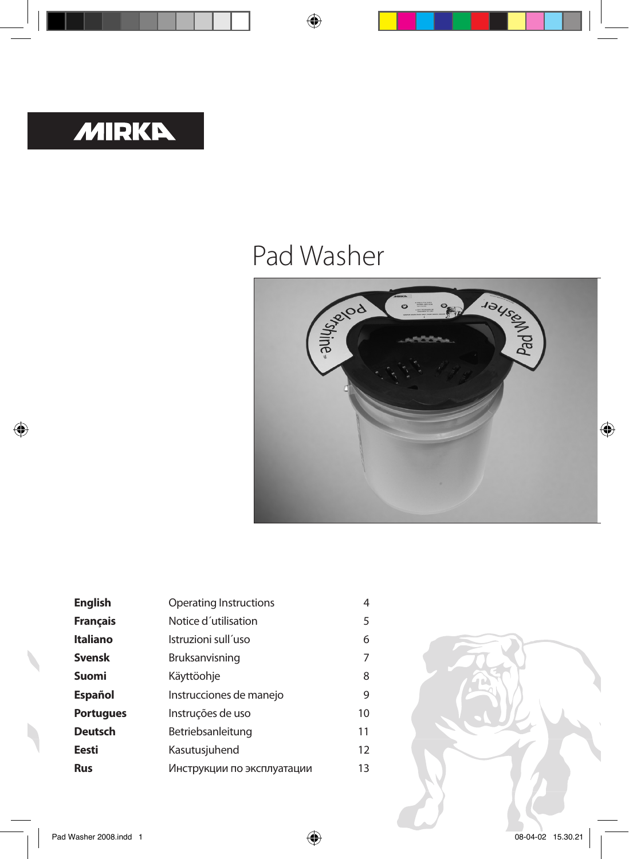

# Pad Washer



| <b>English</b>   | Operating Instructions     | 4  |
|------------------|----------------------------|----|
| <b>Français</b>  | Notice d'utilisation       | 5  |
| Italiano         | Istruzioni sull´uso        | 6  |
| <b>Svensk</b>    | Bruksanvisning             | 7  |
| Suomi            | Käyttöohje                 | 8  |
| <b>Español</b>   | Instrucciones de manejo    | 9  |
| <b>Portugues</b> | Instruções de uso          | 10 |
| <b>Deutsch</b>   | Betriebsanleitung          | 11 |
| <b>Eesti</b>     | Kasutusjuhend              | 12 |
| <b>Rus</b>       | Инструкции по эксплуатации | 13 |
|                  |                            |    |

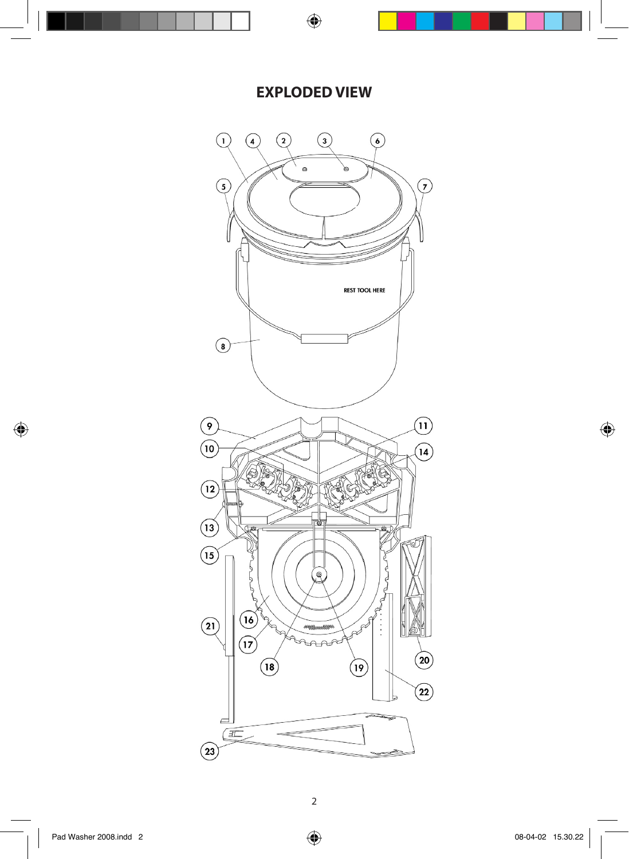### **EXPLODED VIEW**

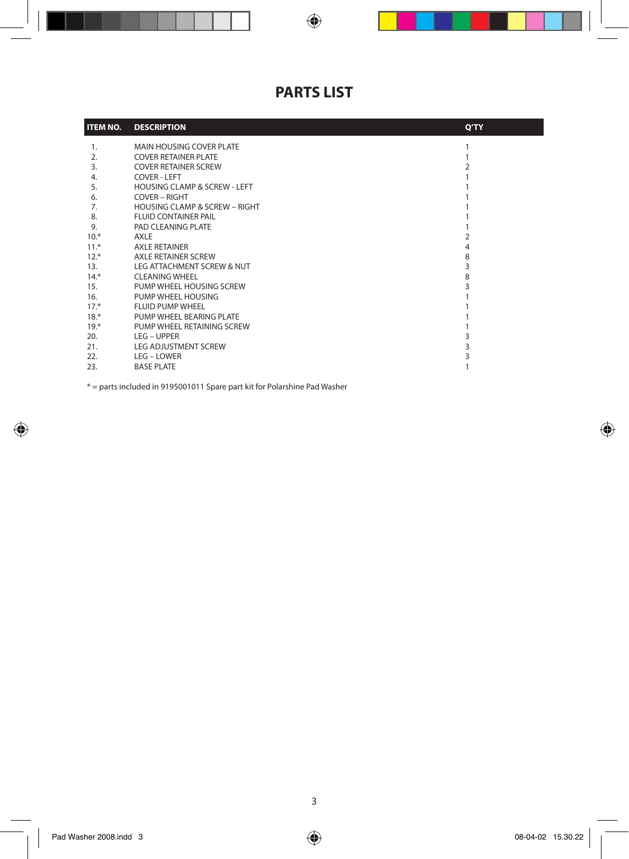## **PARTS LIST**

| <b>ITEM NO.</b> | <b>DESCRIPTION</b>                       | Q'TY |
|-----------------|------------------------------------------|------|
| 1.              | MAIN HOUSING COVER PLATE                 |      |
| 2.              | <b>COVER RETAINER PLATE</b>              |      |
| 3.              | <b>COVER RETAINER SCREW</b>              |      |
| 4.              | <b>COVER - LEFT</b>                      |      |
| 5.              | <b>HOUSING CLAMP &amp; SCREW - LEFT</b>  |      |
| 6.              | COVER – RIGHT                            |      |
| 7.              | <b>HOUSING CLAMP &amp; SCREW - RIGHT</b> |      |
| 8.              | <b>FLUID CONTAINER PAIL</b>              |      |
| 9.              | <b>PAD CLEANING PLATE</b>                |      |
| $10.*$          | AXLE                                     |      |
| $11.*$          | <b>AXLE RETAINER</b>                     | 4    |
| $12.*$          | <b>AXLE RETAINER SCREW</b>               | 8    |
| 13.             | LEG ATTACHMENT SCREW & NUT               | 3    |
| $14.*$          | <b>CLEANING WHEEL</b>                    | 8    |
| 15.             | PUMP WHEEL HOUSING SCREW                 |      |
| 16.             | PUMP WHEEL HOUSING                       |      |
| $17.*$          | <b>FLUID PUMP WHEEL</b>                  |      |
| $18.*$          | PUMP WHEEL BEARING PLATE                 |      |
| $19.*$          | PUMP WHEEL RETAINING SCREW               |      |
| 20.             | LEG – UPPER                              |      |
| 21.             | <b>LEG ADJUSTMENT SCREW</b>              | 3    |
| 22.             | LEG – LOWER                              | 3    |
| 23.             | <b>BASE PLATE</b>                        |      |

\* = parts included in 9195001011 Spare part kit for Polarshine Pad Washer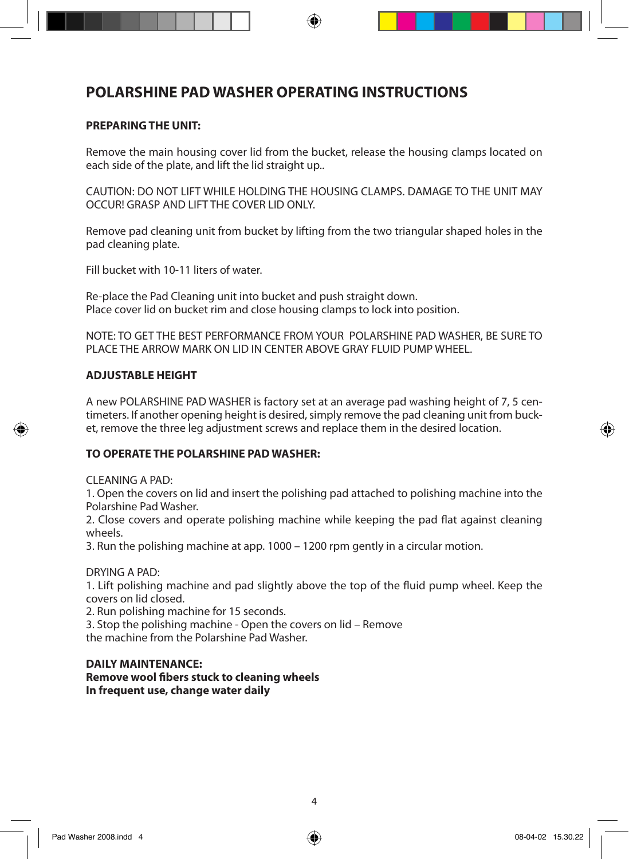# **POLARSHINE PAD WASHER OPERATING INSTRUCTIONS**

#### **PREPARING THE UNIT:**

Remove the main housing cover lid from the bucket, release the housing clamps located on each side of the plate, and lift the lid straight up..

CAUTION: DO NOT LIFT WHILE HOLDING THE HOUSING CLAMPS. DAMAGE TO THE UNIT MAY OCCUR! GRASP AND LIFT THE COVER LID ONLY.

Remove pad cleaning unit from bucket by lifting from the two triangular shaped holes in the pad cleaning plate.

Fill bucket with 10-11 liters of water.

Re-place the Pad Cleaning unit into bucket and push straight down. Place cover lid on bucket rim and close housing clamps to lock into position.

NOTE: TO GET THE BEST PERFORMANCE FROM YOUR POLARSHINE PAD WASHER, BE SURE TO PLACE THE ARROW MARK ON LID IN CENTER ABOVE GRAY FLUID PUMP WHEEL.

#### **ADJUSTABLE HEIGHT**

A new POLARSHINE PAD WASHER is factory set at an average pad washing height of 7, 5 centimeters. If another opening height is desired, simply remove the pad cleaning unit from bucket, remove the three leg adjustment screws and replace them in the desired location.

#### **TO OPERATE THE POLARSHINE PAD WASHER:**

CLEANING A PAD:

1. Open the covers on lid and insert the polishing pad attached to polishing machine into the Polarshine Pad Washer.

2. Close covers and operate polishing machine while keeping the pad flat against cleaning wheels.

3. Run the polishing machine at app. 1000 – 1200 rpm gently in a circular motion.

#### DRYING A PAD:

1. Lift polishing machine and pad slightly above the top of the fluid pump wheel. Keep the covers on lid closed.

2. Run polishing machine for 15 seconds.

3. Stop the polishing machine - Open the covers on lid – Remove

the machine from the Polarshine Pad Washer.

#### **DAILY MAINTENANCE: Remove wool fibers stuck to cleaning wheels In frequent use, change water daily**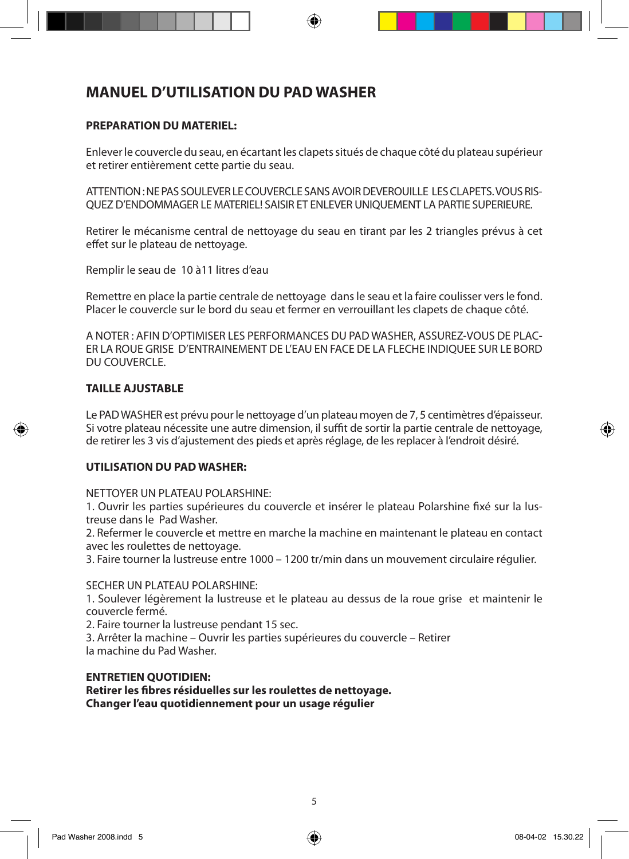# **MANUEL D'UTILISATION DU PAD WASHER**

#### **PREPARATION DU MATERIEL:**

Enlever le couvercle du seau, en écartant les clapets situés de chaque côté du plateau supérieur et retirer entièrement cette partie du seau.

ATTENTION : NE PAS SOULEVER LE COUVERCLE SANS AVOIR DEVEROUILLE LES CLAPETS. VOUS RIS-QUEZ D'ENDOMMAGER LE MATERIEL! SAISIR ET ENLEVER UNIQUEMENT LA PARTIE SUPERIEURE.

Retirer le mécanisme central de nettoyage du seau en tirant par les 2 triangles prévus à cet effet sur le plateau de nettoyage.

Remplir le seau de 10 à11 litres d'eau

Remettre en place la partie centrale de nettoyage dans le seau et la faire coulisser vers le fond. Placer le couvercle sur le bord du seau et fermer en verrouillant les clapets de chaque côté.

A NOTER : AFIN D'OPTIMISER LES PERFORMANCES DU PAD WASHER, ASSUREZ-VOUS DE PLAC-ER LA ROUE GRISE D'ENTRAINEMENT DE L'EAU EN FACE DE LA FLECHE INDIQUEE SUR LE BORD DU COUVERCLE.

#### **TAILLE AJUSTABLE**

Le PAD WASHER est prévu pour le nettoyage d'un plateau moyen de 7, 5 centimètres d'épaisseur. Si votre plateau nécessite une autre dimension, il suffit de sortir la partie centrale de nettoyage, de retirer les 3 vis d'ajustement des pieds et après réglage, de les replacer à l'endroit désiré.

#### **UTILISATION DU PAD WASHER:**

NETTOYER UN PLATEAU POLARSHINE:

1. Ouvrir les parties supérieures du couvercle et insérer le plateau Polarshine fixé sur la lustreuse dans le Pad Washer.

2. Refermer le couvercle et mettre en marche la machine en maintenant le plateau en contact avec les roulettes de nettoyage.

3. Faire tourner la lustreuse entre 1000 – 1200 tr/min dans un mouvement circulaire régulier.

SECHER UN PLATEAU POLARSHINE:

1. Soulever légèrement la lustreuse et le plateau au dessus de la roue grise et maintenir le couvercle fermé.

2. Faire tourner la lustreuse pendant 15 sec.

3. Arrêter la machine – Ouvrir les parties supérieures du couvercle – Retirer la machine du Pad Washer.

**ENTRETIEN QUOTIDIEN:** Retirer les fibres résiduelles sur les roulettes de nettoyage. **Changer l'eau quotidiennement pour un usage régulier**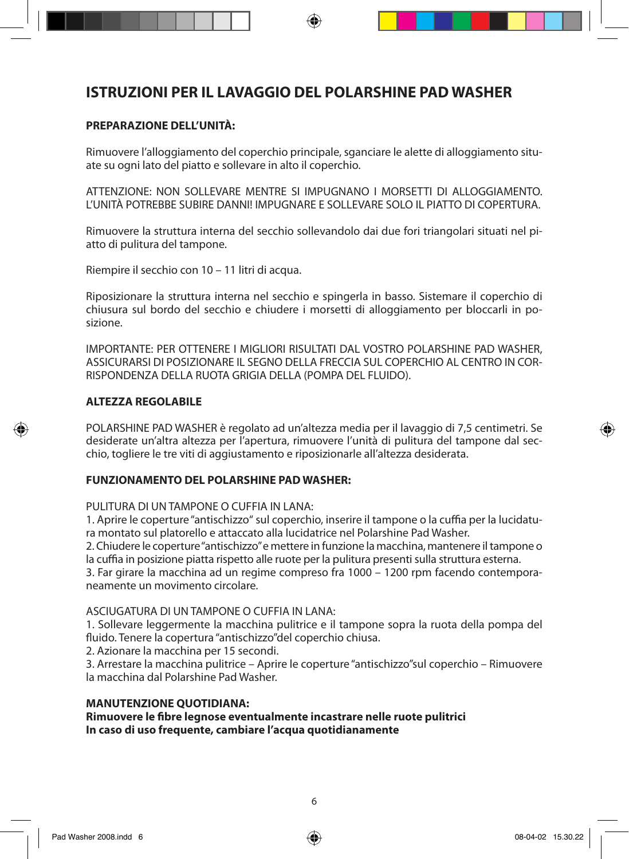# **ISTRUZIONI PER IL LAVAGGIO DEL POLARSHINE PAD WASHER**

#### **PREPARAZIONE DELL'UNITÀ:**

Rimuovere l'alloggiamento del coperchio principale, sganciare le alette di alloggiamento situate su ogni lato del piatto e sollevare in alto il coperchio.

ATTENZIONE: NON SOLLEVARE MENTRE SI IMPUGNANO I MORSETTI DI ALLOGGIAMENTO. L'UNITÀ POTREBBE SUBIRE DANNI! IMPUGNARE E SOLLEVARE SOLO IL PIATTO DI COPERTURA.

Rimuovere la struttura interna del secchio sollevandolo dai due fori triangolari situati nel piatto di pulitura del tampone.

Riempire il secchio con 10 – 11 litri di acqua.

Riposizionare la struttura interna nel secchio e spingerla in basso. Sistemare il coperchio di chiusura sul bordo del secchio e chiudere i morsetti di alloggiamento per bloccarli in posizione.

IMPORTANTE: PER OTTENERE I MIGLIORI RISULTATI DAL VOSTRO POLARSHINE PAD WASHER, ASSICURARSI DI POSIZIONARE IL SEGNO DELLA FRECCIA SUL COPERCHIO AL CENTRO IN COR-RISPONDENZA DELLA RUOTA GRIGIA DELLA (POMPA DEL FLUIDO).

#### **ALTEZZA REGOLABILE**

POLARSHINE PAD WASHER è regolato ad un'altezza media per il lavaggio di 7,5 centimetri. Se desiderate un'altra altezza per l'apertura, rimuovere l'unità di pulitura del tampone dal secchio, togliere le tre viti di aggiustamento e riposizionarle all'altezza desiderata.

#### **FUNZIONAMENTO DEL POLARSHINE PAD WASHER:**

PULITURA DI UN TAMPONE O CUFFIA IN LANA:

1. Aprire le coperture "antischizzo" sul coperchio, inserire il tampone o la cuffia per la lucidatura montato sul platorello e attaccato alla lucidatrice nel Polarshine Pad Washer.

2. Chiudere le coperture "antischizzo" e mettere in funzione la macchina, mantenere il tampone o la cuffia in posizione piatta rispetto alle ruote per la pulitura presenti sulla struttura esterna.

3. Far girare la macchina ad un regime compreso fra 1000 – 1200 rpm facendo contemporaneamente un movimento circolare.

#### ASCIUGATURA DI UN TAMPONE O CUFFIA IN LANA:

1. Sollevare leggermente la macchina pulitrice e il tampone sopra la ruota della pompa del fluido. Tenere la copertura "antischizzo" del coperchio chiusa.

2. Azionare la macchina per 15 secondi.

3. Arrestare la macchina pulitrice – Aprire le coperture "antischizzo"sul coperchio – Rimuovere la macchina dal Polarshine Pad Washer.

#### **MANUTENZIONE QUOTIDIANA:**

**Rimuovere le fibre legnose eventualmente incastrare nelle ruote pulitrici In caso di uso frequente, cambiare l'acqua quotidianamente**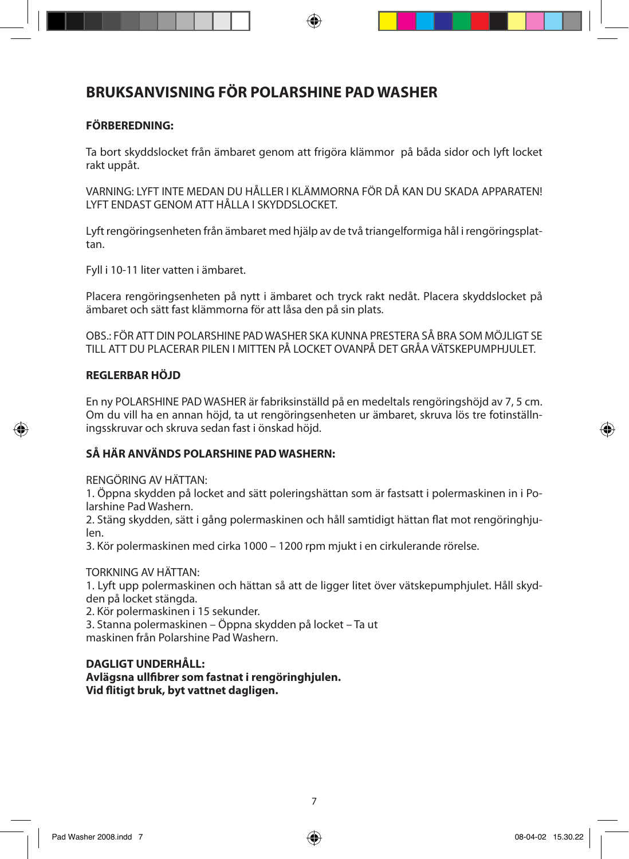# **BRUKSANVISNING FÖR POLARSHINE PAD WASHER**

#### **FÖRBEREDNING:**

Ta bort skyddslocket från ämbaret genom att frigöra klämmor på båda sidor och lyft locket rakt uppåt.

VARNING: LYFT INTE MEDAN DU HÅLLER I KLÄMMORNA FÖR DÅ KAN DU SKADA APPARATEN! LYFT ENDAST GENOM ATT HÅLLA I SKYDDSLOCKET.

Lyft rengöringsenheten från ämbaret med hjälp av de två triangelformiga hål i rengöringsplattan.

Fyll i 10-11 liter vatten i ämbaret.

Placera rengöringsenheten på nytt i ämbaret och tryck rakt nedåt. Placera skyddslocket på ämbaret och sätt fast klämmorna för att låsa den på sin plats.

OBS.: FÖR ATT DIN POLARSHINE PAD WASHER SKA KUNNA PRESTERA SÅ BRA SOM MÖJLIGT SE TILL ATT DU PLACERAR PILEN I MITTEN PÅ LOCKET OVANPÅ DET GRÅA VÄTSKEPUMPHJULET.

#### **REGLERBAR HÖJD**

En ny POLARSHINE PAD WASHER är fabriksinställd på en medeltals rengöringshöjd av 7, 5 cm. Om du vill ha en annan höjd, ta ut rengöringsenheten ur ämbaret, skruva lös tre fotinställningsskruvar och skruva sedan fast i önskad höjd.

#### **SÅ HÄR ANVÄNDS POLARSHINE PAD WASHERN:**

RENGÖRING AV HÄTTAN:

1. Öppna skydden på locket and sätt poleringshättan som är fastsatt i polermaskinen in i Polarshine Pad Washern.

2. Stäng skydden, sätt i gång polermaskinen och håll samtidigt hättan flat mot rengöringhjulen.

3. Kör polermaskinen med cirka 1000 – 1200 rpm mjukt i en cirkulerande rörelse.

#### TORKNING AV HÄTTAN:

1. Lyft upp polermaskinen och hättan så att de ligger litet över vätskepumphjulet. Håll skydden på locket stängda.

2. Kör polermaskinen i 15 sekunder.

3. Stanna polermaskinen – Öppna skydden på locket – Ta ut maskinen från Polarshine Pad Washern.

#### **DAGLIGT UNDERHÅLL:** Avlägsna ullfibrer som fastnat i rengöringhjulen. **Vid flitigt bruk, byt vattnet dagligen.**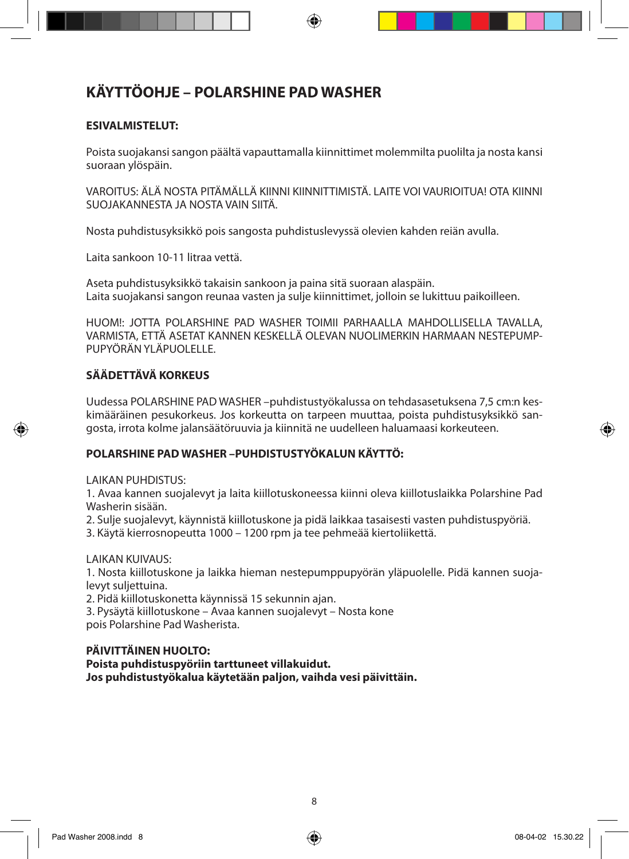# **KÄYTTÖOHJE – POLARSHINE PAD WASHER**

#### **ESIVALMISTELUT:**

Poista suojakansi sangon päältä vapauttamalla kiinnittimet molemmilta puolilta ja nosta kansi suoraan ylöspäin.

VAROITUS: ÄLÄ NOSTA PITÄMÄLLÄ KIINNI KIINNITTIMISTÄ. LAITE VOI VAURIOITUA! OTA KIINNI SUOJAKANNESTA JA NOSTA VAIN SIITÄ.

Nosta puhdistusyksikkö pois sangosta puhdistuslevyssä olevien kahden reiän avulla.

Laita sankoon 10-11 litraa vettä.

Aseta puhdistusyksikkö takaisin sankoon ja paina sitä suoraan alaspäin. Laita suojakansi sangon reunaa vasten ja sulje kiinnittimet, jolloin se lukittuu paikoilleen.

HUOM!: JOTTA POLARSHINE PAD WASHER TOIMII PARHAALLA MAHDOLLISELLA TAVALLA, VARMISTA, ETTÄ ASETAT KANNEN KESKELLÄ OLEVAN NUOLIMERKIN HARMAAN NESTEPUMP-PUPYÖRÄN YLÄPUOLELLE.

#### **SÄÄDETTÄVÄ KORKEUS**

Uudessa POLARSHINE PAD WASHER –puhdistustyökalussa on tehdasasetuksena 7,5 cm:n keskimääräinen pesukorkeus. Jos korkeutta on tarpeen muuttaa, poista puhdistusyksikkö sangosta, irrota kolme jalansäätöruuvia ja kiinnitä ne uudelleen haluamaasi korkeuteen.

#### **POLARSHINE PAD WASHER –PUHDISTUSTYÖKALUN KÄYTTÖ:**

LAIKAN PUHDISTUS:

1. Avaa kannen suojalevyt ja laita kiillotuskoneessa kiinni oleva kiillotuslaikka Polarshine Pad Washerin sisään.

- 2. Sulje suojalevyt, käynnistä kiillotuskone ja pidä laikkaa tasaisesti vasten puhdistuspyöriä.
- 3. Käytä kierrosnopeutta 1000 1200 rpm ja tee pehmeää kiertoliikettä.

LAIKAN KUIVAUS:

1. Nosta kiillotuskone ja laikka hieman nestepumppupyörän yläpuolelle. Pidä kannen suojalevyt suliettuina.

2. Pidä kiillotuskonetta käynnissä 15 sekunnin ajan.

3. Pysäytä kiillotuskone – Avaa kannen suojalevyt – Nosta kone pois Polarshine Pad Washerista.

#### **PÄIVITTÄINEN HUOLTO:**

**Poista puhdistuspyöriin tarttuneet villakuidut. Jos puhdistustyökalua käytetään paljon, vaihda vesi päivittäin.**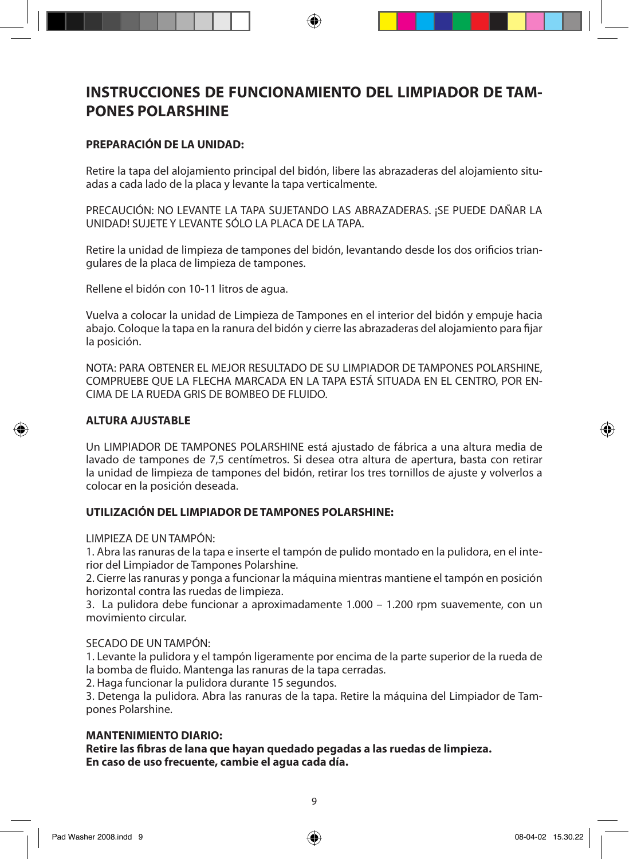# **INSTRUCCIONES DE FUNCIONAMIENTO DEL LIMPIADOR DE TAM-PONES POLARSHINE**

#### **PREPARACIÓN DE LA UNIDAD:**

Retire la tapa del alojamiento principal del bidón, libere las abrazaderas del alojamiento situadas a cada lado de la placa y levante la tapa verticalmente.

PRECAUCIÓN: NO LEVANTE LA TAPA SUJETANDO LAS ABRAZADERAS. ¡SE PUEDE DAÑAR LA UNIDAD! SUJETE Y LEVANTE SÓLO LA PLACA DE LA TAPA.

Retire la unidad de limpieza de tampones del bidón, levantando desde los dos orificios triangulares de la placa de limpieza de tampones.

Rellene el bidón con 10-11 litros de agua.

Vuelva a colocar la unidad de Limpieza de Tampones en el interior del bidón y empuje hacia abajo. Coloque la tapa en la ranura del bidón y cierre las abrazaderas del alojamiento para fijar la posición.

NOTA: PARA OBTENER EL MEJOR RESULTADO DE SU LIMPIADOR DE TAMPONES POLARSHINE, COMPRUEBE QUE LA FLECHA MARCADA EN LA TAPA ESTÁ SITUADA EN EL CENTRO, POR EN-CIMA DE LA RUEDA GRIS DE BOMBEO DE FLUIDO.

#### **ALTURA AJUSTABLE**

Un LIMPIADOR DE TAMPONES POLARSHINE está ajustado de fábrica a una altura media de lavado de tampones de 7,5 centímetros. Si desea otra altura de apertura, basta con retirar la unidad de limpieza de tampones del bidón, retirar los tres tornillos de ajuste y volverlos a colocar en la posición deseada.

#### **UTILIZACIÓN DEL LIMPIADOR DE TAMPONES POLARSHINE:**

LIMPIEZA DE UN TAMPÓN:

1. Abra las ranuras de la tapa e inserte el tampón de pulido montado en la pulidora, en el interior del Limpiador de Tampones Polarshine.

2. Cierre las ranuras y ponga a funcionar la máquina mientras mantiene el tampón en posición horizontal contra las ruedas de limpieza.

3. La pulidora debe funcionar a aproximadamente 1.000 – 1.200 rpm suavemente, con un movimiento circular.

#### SECADO DE UN TAMPÓN:

1. Levante la pulidora y el tampón ligeramente por encima de la parte superior de la rueda de la bomba de fluido. Mantenga las ranuras de la tapa cerradas.

2. Haga funcionar la pulidora durante 15 segundos.

3. Detenga la pulidora. Abra las ranuras de la tapa. Retire la máquina del Limpiador de Tampones Polarshine.

#### **MANTENIMIENTO DIARIO:**

Retire las fibras de lana que hayan quedado pegadas a las ruedas de limpieza. **En caso de uso frecuente, cambie el agua cada día.**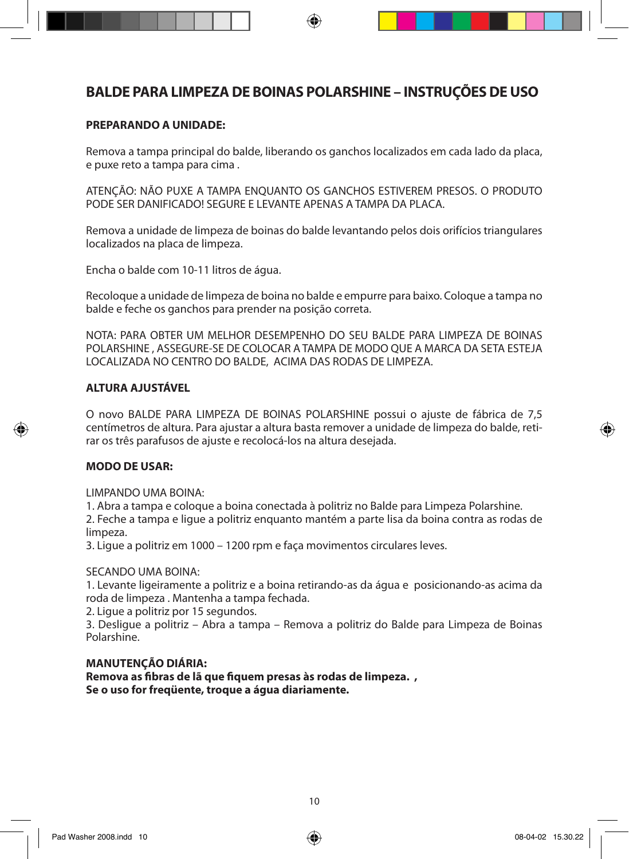### **BALDE PARA LIMPEZA DE BOINAS POLARSHINE – INSTRUÇÕES DE USO**

#### **PREPARANDO A UNIDADE:**

Remova a tampa principal do balde, liberando os ganchos localizados em cada lado da placa, e puxe reto a tampa para cima .

ATENÇÃO: NÃO PUXE A TAMPA ENQUANTO OS GANCHOS ESTIVEREM PRESOS. O PRODUTO PODE SER DANIFICADO! SEGURE E LEVANTE APENAS A TAMPA DA PLACA.

Remova a unidade de limpeza de boinas do balde levantando pelos dois orifícios triangulares localizados na placa de limpeza.

Encha o balde com 10-11 litros de água.

Recoloque a unidade de limpeza de boina no balde e empurre para baixo. Coloque a tampa no balde e feche os ganchos para prender na posição correta.

NOTA: PARA OBTER UM MELHOR DESEMPENHO DO SEU BALDE PARA LIMPEZA DE BOINAS POLARSHINE , ASSEGURE-SE DE COLOCAR A TAMPA DE MODO QUE A MARCA DA SETA ESTEJA LOCALIZADA NO CENTRO DO BALDE, ACIMA DAS RODAS DE LIMPEZA.

#### **ALTURA AJUSTÁVEL**

O novo BALDE PARA LIMPEZA DE BOINAS POLARSHINE possui o ajuste de fábrica de 7,5 centímetros de altura. Para ajustar a altura basta remover a unidade de limpeza do balde, retirar os três parafusos de ajuste e recolocá-los na altura desejada.

#### **MODO DE USAR:**

LIMPANDO UMA BOINA:

1. Abra a tampa e coloque a boina conectada à politriz no Balde para Limpeza Polarshine.

2. Feche a tampa e ligue a politriz enquanto mantém a parte lisa da boina contra as rodas de limpeza.

3. Ligue a politriz em 1000 – 1200 rpm e faça movimentos circulares leves.

#### SECANDO UMA BOINA:

1. Levante ligeiramente a politriz e a boina retirando-as da água e posicionando-as acima da roda de limpeza . Mantenha a tampa fechada.

2. Ligue a politriz por 15 segundos.

3. Desligue a politriz – Abra a tampa – Remova a politriz do Balde para Limpeza de Boinas Polarshine.

#### **MANUTENÇÃO DIÁRIA:**

Remova as fibras de lã que fiquem presas às rodas de limpeza., **Se o uso for freqüente, troque a água diariamente.**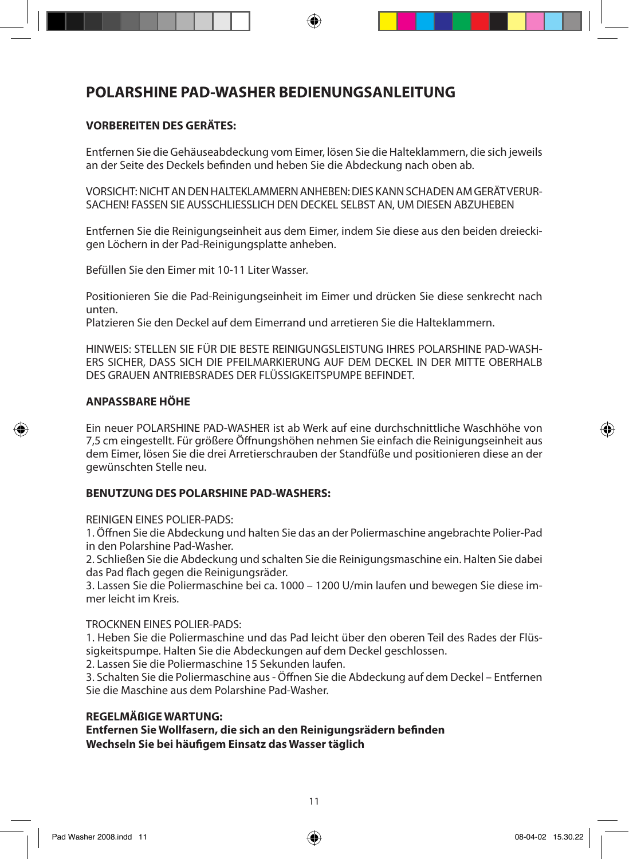# **POLARSHINE PAD-WASHER BEDIENUNGSANLEITUNG**

#### **VORBEREITEN DES GERÄTES:**

Entfernen Sie die Gehäuseabdeckung vom Eimer, lösen Sie die Halteklammern, die sich jeweils an der Seite des Deckels befinden und heben Sie die Abdeckung nach oben ab.

VORSICHT: NICHT AN DEN HALTEKLAMMERN ANHEBEN: DIES KANN SCHADEN AM GERÄT VERUR-SACHEN! FASSEN SIE AUSSCHLIESSLICH DEN DECKEL SELBST AN, UM DIESEN ABZUHEBEN

Entfernen Sie die Reinigungseinheit aus dem Eimer, indem Sie diese aus den beiden dreieckigen Löchern in der Pad-Reinigungsplatte anheben.

Befüllen Sie den Eimer mit 10-11 Liter Wasser.

Positionieren Sie die Pad-Reinigungseinheit im Eimer und drücken Sie diese senkrecht nach unten.

Platzieren Sie den Deckel auf dem Eimerrand und arretieren Sie die Halteklammern.

HINWEIS: STELLEN SIE FÜR DIE BESTE REINIGUNGSLEISTUNG IHRES POLARSHINE PAD-WASH-ERS SICHER, DASS SICH DIE PFEILMARKIERUNG AUF DEM DECKEL IN DER MITTE OBERHALB DES GRAUEN ANTRIEBSRADES DER FLÜSSIGKEITSPUMPE BEFINDET.

#### **ANPASSBARE HÖHE**

Ein neuer POLARSHINE PAD-WASHER ist ab Werk auf eine durchschnittliche Waschhöhe von 7,5 cm eingestellt. Für größere Öffnungshöhen nehmen Sie einfach die Reinigungseinheit aus dem Eimer, lösen Sie die drei Arretierschrauben der Standfüße und positionieren diese an der gewünschten Stelle neu.

#### **BENUTZUNG DES POLARSHINE PAD-WASHERS:**

REINIGEN EINES POLIER-PADS:

1. Öffnen Sie die Abdeckung und halten Sie das an der Poliermaschine angebrachte Polier-Pad in den Polarshine Pad-Washer.

2. Schließen Sie die Abdeckung und schalten Sie die Reinigungsmaschine ein. Halten Sie dabei das Pad flach gegen die Reinigungsräder.

3. Lassen Sie die Poliermaschine bei ca. 1000 – 1200 U/min laufen und bewegen Sie diese immer leicht im Kreis.

#### TROCKNEN EINES POLIER-PADS:

1. Heben Sie die Poliermaschine und das Pad leicht über den oberen Teil des Rades der Flüssigkeitspumpe. Halten Sie die Abdeckungen auf dem Deckel geschlossen.

2. Lassen Sie die Poliermaschine 15 Sekunden laufen.

3. Schalten Sie die Poliermaschine aus - Öffnen Sie die Abdeckung auf dem Deckel – Entfernen Sie die Maschine aus dem Polarshine Pad-Washer.

#### **REGELMÄßIGE WARTUNG:**

**Entfernen Sie Wollfasern, die sich an den Reinigungsrädern befinden** Wechseln Sie bei häufigem Einsatz das Wasser täglich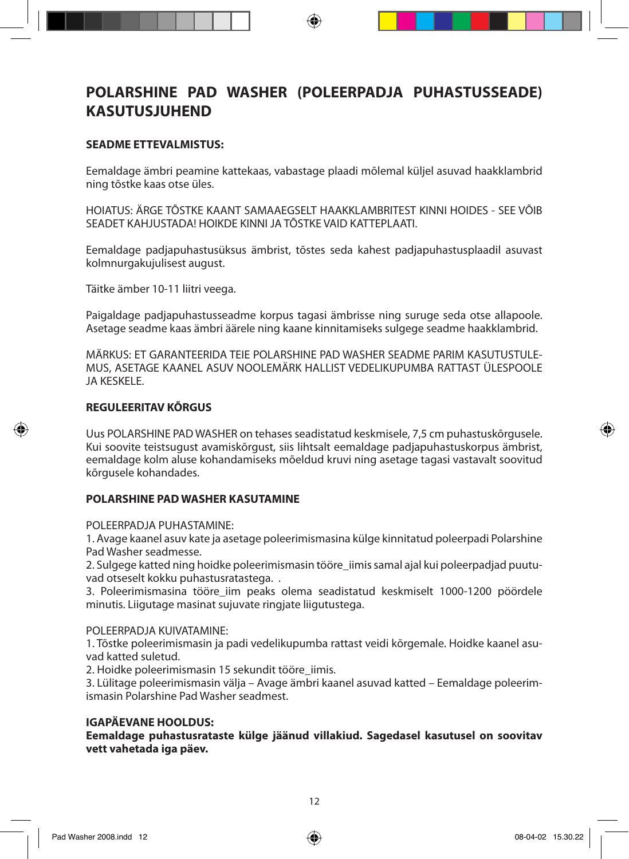# **POLARSHINE PAD WASHER (POLEERPADJA PUHASTUSSEADE) KASUTUSJUHEND**

#### **SEADME ETTEVALMISTUS:**

Eemaldage ämbri peamine kattekaas, vabastage plaadi mõlemal küljel asuvad haakklambrid ning tõstke kaas otse üles.

HOIATUS: ÄRGE TÕSTKE KAANT SAMAAEGSELT HAAKKLAMBRITEST KINNI HOIDES - SEE VÕIB SEADET KAHJUSTADA! HOIKDE KINNI JA TÕSTKE VAID KATTEPLAATI.

Eemaldage padjapuhastusüksus ämbrist, tõstes seda kahest padjapuhastusplaadil asuvast kolmnurgakujulisest august.

Täitke ämber 10-11 liitri veega.

Paigaldage padjapuhastusseadme korpus tagasi ämbrisse ning suruge seda otse allapoole. Asetage seadme kaas ämbri äärele ning kaane kinnitamiseks sulgege seadme haakklambrid.

MÄRKUS: ET GARANTEERIDA TEIE POLARSHINE PAD WASHER SEADME PARIM KASUTUSTULE-MUS, ASETAGE KAANEL ASUV NOOLEMÄRK HALLIST VEDELIKUPUMBA RATTAST ÜLESPOOLE JA KESKELE.

#### **REGULEERITAV KÕRGUS**

Uus POLARSHINE PAD WASHER on tehases seadistatud keskmisele, 7,5 cm puhastuskõrgusele. Kui soovite teistsugust avamiskõrgust, siis lihtsalt eemaldage padjapuhastuskorpus ämbrist, eemaldage kolm aluse kohandamiseks mõeldud kruvi ning asetage tagasi vastavalt soovitud kõrgusele kohandades.

#### **POLARSHINE PAD WASHER KASUTAMINE**

POLEERPADJA PUHASTAMINE:

1. Avage kaanel asuv kate ja asetage poleerimismasina külge kinnitatud poleerpadi Polarshine Pad Washer seadmesse.

2. Sulgege katted ning hoidke poleerimismasin tööre\_iimis samal ajal kui poleerpadjad puutuvad otseselt kokku puhastusratastega. .

3. Poleerimismasina tööre\_iim peaks olema seadistatud keskmiselt 1000-1200 pöördele minutis. Liigutage masinat sujuvate ringjate liigutustega.

#### POLEERPADJA KUIVATAMINE:

1. Tõstke poleerimismasin ja padi vedelikupumba rattast veidi kõrgemale. Hoidke kaanel asuvad katted suletud.

2. Hoidke poleerimismasin 15 sekundit tööre iimis.

3. Lülitage poleerimismasin välja – Avage ämbri kaanel asuvad katted – Eemaldage poleerimismasin Polarshine Pad Washer seadmest.

#### **IGAPÄEVANE HOOLDUS:**

**Eemaldage puhastusrataste külge jäänud villakiud. Sagedasel kasutusel on soovitav vett vahetada iga päev.**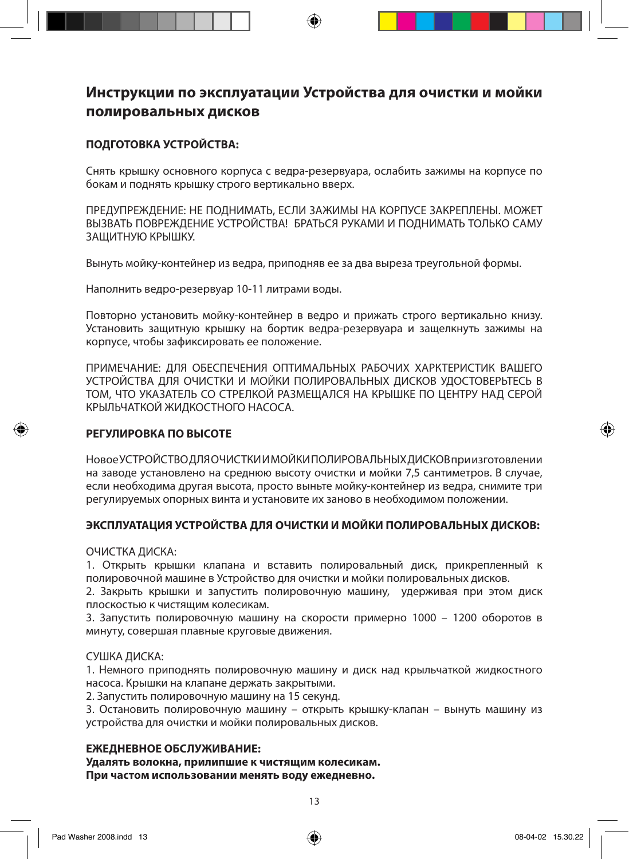### **Инструкции по эксплуатации Устройства для очистки и мойки полировальных дисков**

#### **ПОДГОТОВКА УСТРОЙСТВА:**

Снять крышку основного корпуса с ведра-резервуара, ослабить зажимы на корпусе по бокам и поднять крышку строго вертикально вверх.

ПРЕДУПРЕЖДЕНИЕ: НЕ ПОДНИМАТЬ, ЕСЛИ ЗАЖИМЫ НА КОРПУСЕ ЗАКРЕПЛЕНЫ. МОЖЕТ ВЫЗВАТЬ ПОВРЕЖДЕНИЕ УСТРОЙСТВА! БРАТЬСЯ РУКАМИ И ПОДНИМАТЬ ТОЛЬКО САМУ ЗАЩИТНУЮ КРЫШКУ.

Вынуть мойку-контейнер из ведра, приподняв ее за два выреза треугольной формы.

Наполнить ведро-резервуар 10-11 литрами воды.

Повторно установить мойку-контейнер в ведро и прижать строго вертикально книзу. Установить защитную крышку на бортик ведра-резервуара и защелкнуть зажимы на корпусе, чтобы зафиксировать ее положение.

ПРИМЕЧАНИЕ: ДЛЯ ОБЕСПЕЧЕНИЯ ОПТИМАЛЬНЫХ РАБОЧИХ ХАРКТЕРИСТИК ВАШЕГО УСТРОЙСТВА ДЛЯ ОЧИСТКИ И МОЙКИ ПОЛИРОВАЛЬНЫХ ДИСКОВ УДОСТОВЕРЬТЕСЬ В ТОМ, ЧТО УКАЗАТЕЛЬ СО СТРЕЛКОЙ РАЗМЕЩАЛСЯ НА КРЫШКЕ ПО ЦЕНТРУ НАД СЕРОЙ КРЫЛЬЧАТКОЙ ЖИДКОСТНОГО НАСОСА.

#### **РЕГУЛИРОВКА ПО ВЫСОТЕ**

Новое УСТРОЙСТВО ДЛЯ ОЧИСТКИ И МОЙКИ ПОЛИРОВАЛЬНЫХ ДИСКОВ при изготовлении на заводе установлено на среднюю высоту очистки и мойки 7,5 сантиметров. В случае, если необходима другая высота, просто выньте мойку-контейнер из ведра, снимите три регулируемых опорных винта и установите их заново в необходимом положении.

#### **ЭКСПЛУАТАЦИЯ УСТРОЙСТВА ДЛЯ ОЧИСТКИ И МОЙКИ ПОЛИРОВАЛЬНЫХ ДИСКОВ:**

ОЧИСТКА ДИСКА:

1. Открыть крышки клапана и вставить полировальный диск, прикрепленный к полировочной машине в Устройство для очистки и мойки полировальных дисков.

2. Закрыть крышки и запустить полировочную машину, удерживая при этом диск плоскостью к чистящим колесикам.

3. 3апустить полировочную машину на скорости примерно 1000 – 1200 оборотов в минуту, совершая плавные круговые движения.

#### СУШКА ДИСКА:

1. Немного приподнять полировочную машину и диск над крыльчаткой жидкостного насоса. Крышки на клапане держать закрытыми.

2. Запустить полировочную машину на 15 секунд.

3. Остановить полировочную машину – открыть крышку-клапан – вынуть машину из устройства для очистки и мойки полировальных дисков.

#### **ЕЖЕДНЕВНОЕ ОБСЛУЖИВАНИЕ:**

**Удалять волокна, прилипшие к чистящим колесикам. При частом использовании менять воду ежедневно.**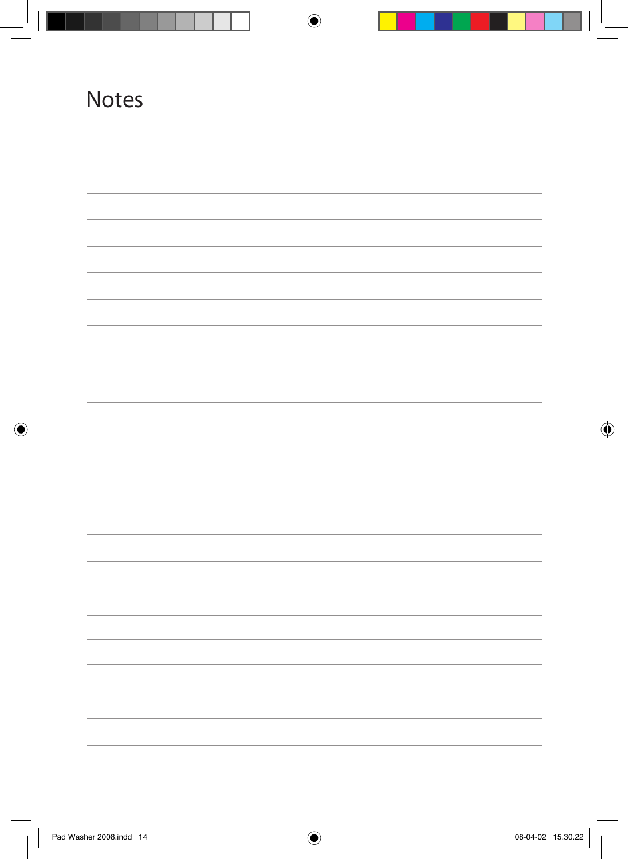# Notes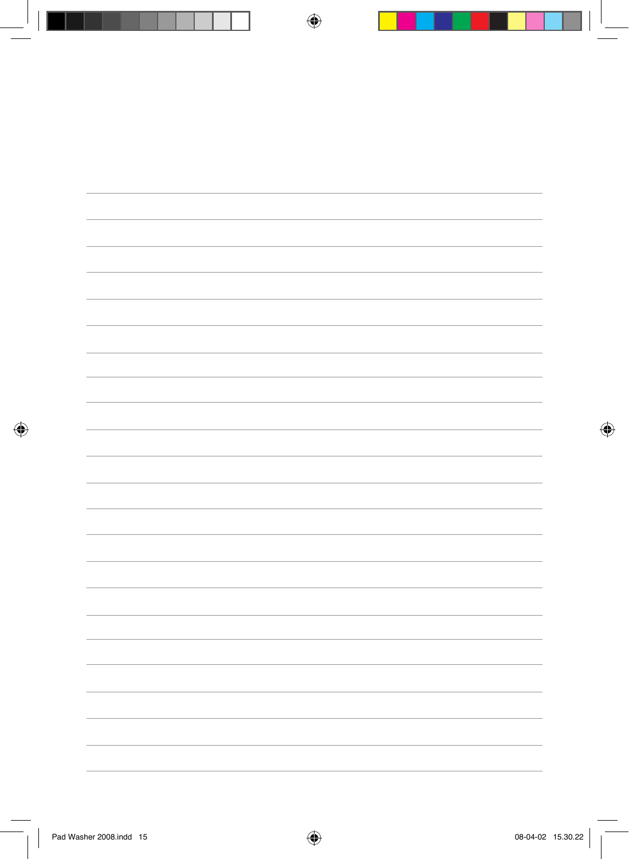